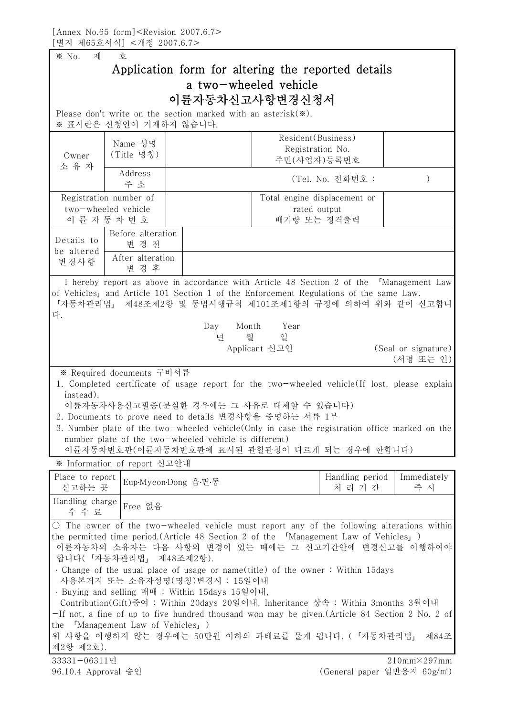※ No. 제 호 Application form for altering the reported details a two-wheeled vehicle 이륜자동차신고사항변경신청서 Please don't write on the section marked with an asterisk(※). ※ 표시란은 신청인이 기재하지 않습니다. Owner Nease don't write on the Magnetics Algorithm Warne 성명<br>Name 성명<br>Owner (Title 명칭<br>소 유 자 Address Name 성명 (Title 명칭) Resident(Business) Registration No. 주민(사업자)등록번호 Address <u>re discrete in the set of the set of the set of the set of the set of the set of the set of the set of</u> the set of<br>
ddress<br>
추소 (Tel. No. 전화번호 : )<br>
mber of Total engine disclosement or l Registration number of two-wheeled vehicle . 유 자<br>- Address<br>- 주 소<br>egistration number of<br>wo-wheeled vehicle<br>이 륜 자 동 차 번 호<br>- Pefers elteration Total engine displacement or rated output 배기량 또는 정격출력 Details to be altered 변경사항 | After aftera<br>- 변 경 후 Before alteration nber of<br>ehicle<br>번호<br>realteration<br>변경전<br>exalteration After alteration 번호<br>번호<br>The alteration<br>번경후<br>treacheus in assemblance I hereby report as above in accordance with Article 48 Section 2 of the 「Management Law of Vehicles」and Article 101 Section 1 of the Enforcement Regulations of the same Law. 「자동차관리법」 제48조제2항 및 동법시행규칙 제101조제1항의 규정에 의하여 위와 같이 신고합니 다. Day Month Year 년 월 일 Applicant 신고인 (Seal or signature) (서명 또는 인) ※ Required documents 구비서류 1. Completed certificate of usage report for the two-wheeled vehicle(If lost, please explain instead).<br>이륜자동차사용신고필증(분실한 경우에는 그 사유로 대체할 수 있습니다) 2. Documents to prove need to details 변경사항을 증명하는 서류 1부 3. Number plate of the two-wheeled vehicle(Only in case the registration office marked on the number plate of the two-wheeled vehicle is different) 이륜자동차번호판(이륜자동차번호판에 표시된 관할관청이 다르게 되는 경우에 한합니다) ※ Information of report 신고안내 Place to report 신고하는 곳 Eup․Myeon․Dong 읍․면․동 Handling period 는 경우에 한합니다)<br>andling period | Immediate<br>처 리 기 간 | 축 시 Immediately nediately<br>즉 시 Handling charge  $\vert$  Free 없음 Information of report 신고안내<br>ce to report<br><u>'고하는 곳</u><br>dling charge<br>수 수 료<br>The express of the two wheeled which  $\circ$  The owner of the two-wheeled vehicle must report any of the following alterations within the permitted time period.(Article 48 Section 2 of the 「Management Law of Vehicles」) 이륜자동차의 소유자는 다음 사항의 변경이 있는 때에는 그 신고기간안에 변경신고를 이행하여야 합니다(「자동차관리법」 제48조제2항). ․ Change of the usual place of usage or name(title) of the owner : Within 15days 사용본거지 또는 소유자성명(명칭)변경시 : 15일이내 ․ Buying and selling 매매 : Within 15days 15일이내, Contribution(Gift)증여 : Within 20days 20일이내, Inheritance 상속 : Within 3months 3월이내 -If not, a fine of up to five hundred thousand won may be given.(Article 84 Section 2 No. 2 of the 「Management Law of Vehicles」) 위 사항을 이행하지 않는 경우에는 50만원 이하의 과태료를 물게 됩니다. (「자동차관리법」 제84조 제2항 제2호). 33331-06311민 96.10.4 Approval 승인 210mm×297mm (General paper 일반용지 60g/㎡)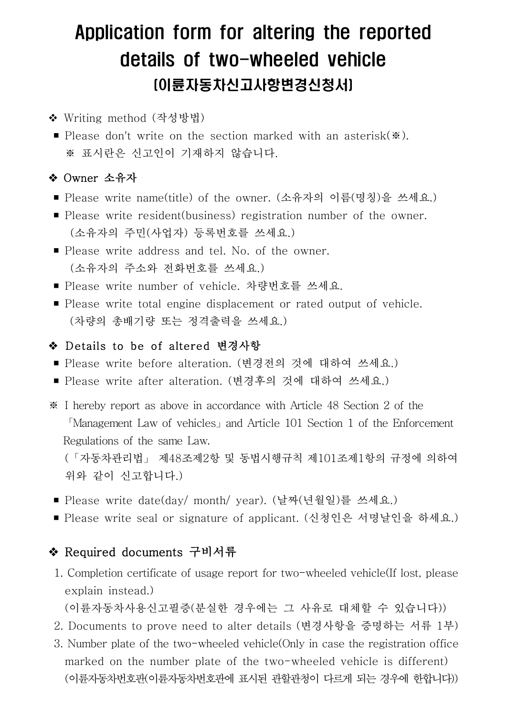# Application form for altering the reported details of two-wheeled vehicle (이륜자동차신고사항변경신청서)

- ◆ Writing method (작성방법)
- Please don't write on the section marked with an asterisk(※).<br>※ 표시란은 신고인이 기재하지 않습니다.

## ◆ Owner 소유자

- Please write name(title) of the owner. (소유자의 이름(명칭)을 쓰세요.)
- Please write resident(business) registration number of the owner.<br>(소유자의 주민(사업자) 등록번호를 쓰세요.)
- Please write address and tel. No. of the owner. (소유자의 주소와 전화번호를 쓰세요.)
- Please write number of vehicle. 차량번호를 쓰세요.
- Please write total engine displacement or rated output of vehicle. (차량의 총배기량 또는 정격출력을 쓰세요.)

#### v Details to be of altered 변경사항

- Please write before alteration. (변경전의 것에 대하여 쓰세요.)
- Please write after alteration. (변경후의 것에 대하여 쓰세요.)
- ※ I hereby report as above in accordance with Article 48 Section 2 of the 「Management Law of vehicles」and Article 101 Section 1 of the Enforcement

 Regulations of the same Law. (「자동차관리법」 제48조제2항 및 동법시행규칙 제101조제1항의 규정에 의하여 위와 같이 신고합니다.)

- Please write date(day/ month/ year). (날짜(년월일)를 쓰세요.)
- Please write seal or signature of applicant. (신청인은 서명날인을 하세요.)

# ◆ Required documents 구비서류

1. Completion certificate of usage report for two-wheeled vehicle(If lost, please explain instead.)

(이륜자동차사용신고필증(분실한 경우에는 그 사유로 대체할 수 있습니다))

- 2. Documents to prove need to alter details (변경사항을 증명하는 서류 1부)
- 3. Number plate of the two-wheeled vehicle(Only in case the registration office marked on the number plate of the two-wheeled vehicle is different) (이륜자동차번호판(이륜자동차번호판에 표시된 관할관청이 다르게 되는 경우에 한합니다))